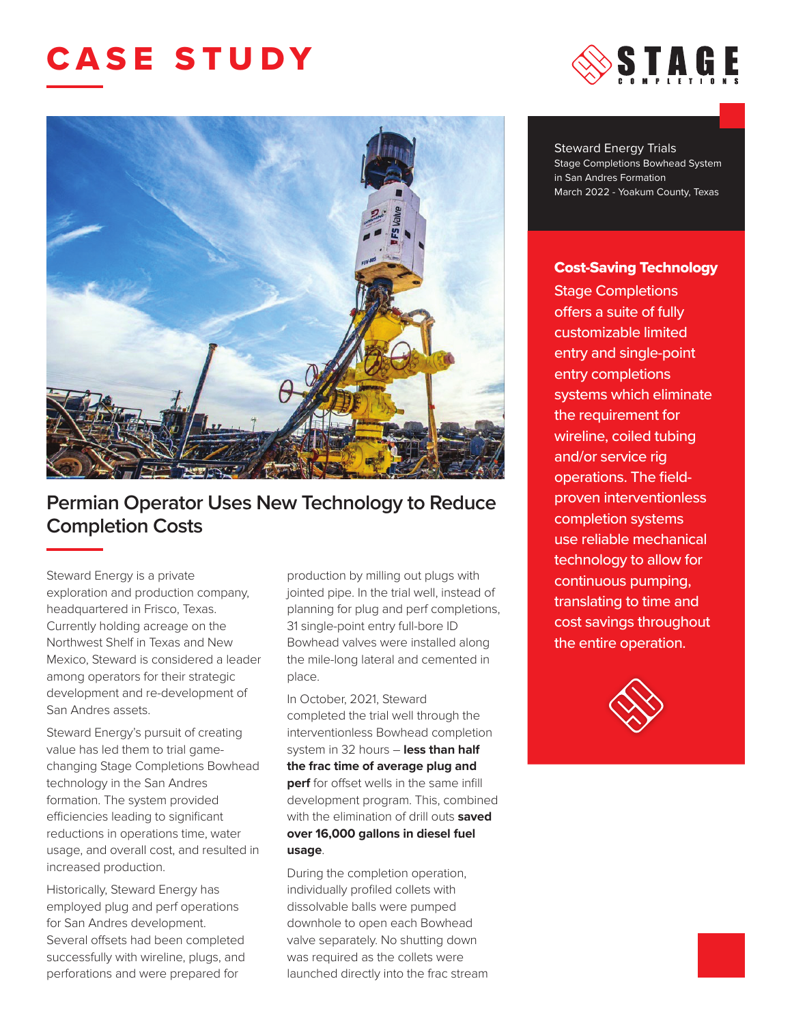## CASE STUDY



## **Permian Operator Uses New Technology to Reduce Completion Costs**

Steward Energy is a private exploration and production company, headquartered in Frisco, Texas. Currently holding acreage on the Northwest Shelf in Texas and New Mexico, Steward is considered a leader among operators for their strategic development and re-development of San Andres assets.

Steward Energy's pursuit of creating value has led them to trial gamechanging Stage Completions Bowhead technology in the San Andres formation. The system provided efficiencies leading to significant reductions in operations time, water usage, and overall cost, and resulted in increased production.

Historically, Steward Energy has employed plug and perf operations for San Andres development. Several offsets had been completed successfully with wireline, plugs, and perforations and were prepared for

production by milling out plugs with jointed pipe. In the trial well, instead of planning for plug and perf completions, 31 single-point entry full-bore ID Bowhead valves were installed along the mile-long lateral and cemented in place.

In October, 2021, Steward completed the trial well through the interventionless Bowhead completion system in 32 hours – **less than half the frac time of average plug and perf** for offset wells in the same infill development program. This, combined with the elimination of drill outs **saved over 16,000 gallons in diesel fuel usage**.

During the completion operation, individually profiled collets with dissolvable balls were pumped downhole to open each Bowhead valve separately. No shutting down was required as the collets were launched directly into the frac stream



Steward Energy Trials Stage Completions Bowhead System in San Andres Formation March 2022 - Yoakum County, Texas

## Cost-Saving Technology

Stage Completions offers a suite of fully customizable limited entry and single-point entry completions systems which eliminate the requirement for wireline, coiled tubing and/or service rig operations. The fieldproven interventionless completion systems use reliable mechanical technology to allow for continuous pumping, translating to time and cost savings throughout the entire operation.